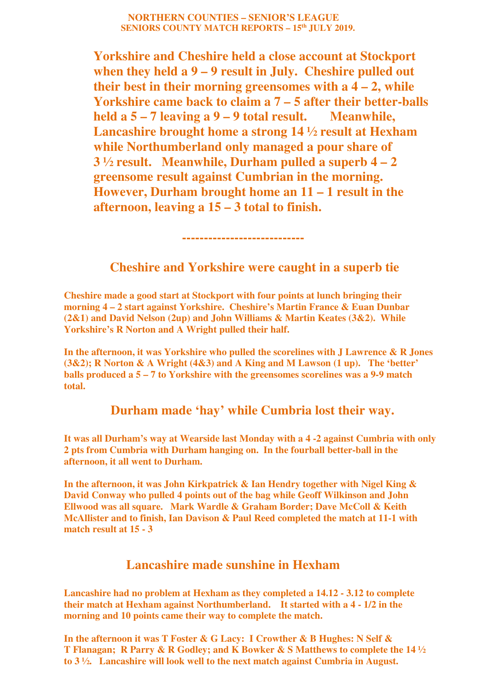## **NORTHERN COUNTIES – SENIOR'S LEAGUE SENIORS COUNTY MATCH REPORTS – 15th JULY 2019.**

**Yorkshire and Cheshire held a close account at Stockport when they held a 9 – 9 result in July. Cheshire pulled out their best in their morning greensomes with a 4 – 2, while Yorkshire came back to claim a 7 – 5 after their better-balls held a 5 – 7 leaving a 9 – 9 total result. Meanwhile, Lancashire brought home a strong 14 ½ result at Hexham while Northumberland only managed a pour share of 3 ½ result. Meanwhile, Durham pulled a superb 4 – 2 greensome result against Cumbrian in the morning. However, Durham brought home an 11 – 1 result in the afternoon, leaving a 15 – 3 total to finish.** 

 **----------------------------** 

## **Cheshire and Yorkshire were caught in a superb tie**

**Cheshire made a good start at Stockport with four points at lunch bringing their morning 4 – 2 start against Yorkshire. Cheshire's Martin France & Euan Dunbar (2&1) and David Nelson (2up) and John Williams & Martin Keates (3&2). While Yorkshire's R Norton and A Wright pulled their half.** 

**In the afternoon, it was Yorkshire who pulled the scorelines with J Lawrence & R Jones (3&2); R Norton & A Wright (4&3) and A King and M Lawson (1 up). The 'better' balls produced a 5 – 7 to Yorkshire with the greensomes scorelines was a 9-9 match total.** 

## **Durham made 'hay' while Cumbria lost their way.**

**It was all Durham's way at Wearside last Monday with a 4 -2 against Cumbria with only 2 pts from Cumbria with Durham hanging on. In the fourball better-ball in the afternoon, it all went to Durham.** 

**In the afternoon, it was John Kirkpatrick & Ian Hendry together with Nigel King & David Conway who pulled 4 points out of the bag while Geoff Wilkinson and John Ellwood was all square. Mark Wardle & Graham Border; Dave McColl & Keith McAllister and to finish, Ian Davison & Paul Reed completed the match at 11-1 with match result at 15 - 3** 

## **Lancashire made sunshine in Hexham**

**Lancashire had no problem at Hexham as they completed a 14.12 - 3.12 to complete their match at Hexham against Northumberland. It started with a 4 - 1/2 in the morning and 10 points came their way to complete the match.** 

**In the afternoon it was T Foster & G Lacy: I Crowther & B Hughes: N Self & T Flanagan; R Parry & R Godley; and K Bowker & S Matthews to complete the 14 ½ to 3 ½. Lancashire will look well to the next match against Cumbria in August.**